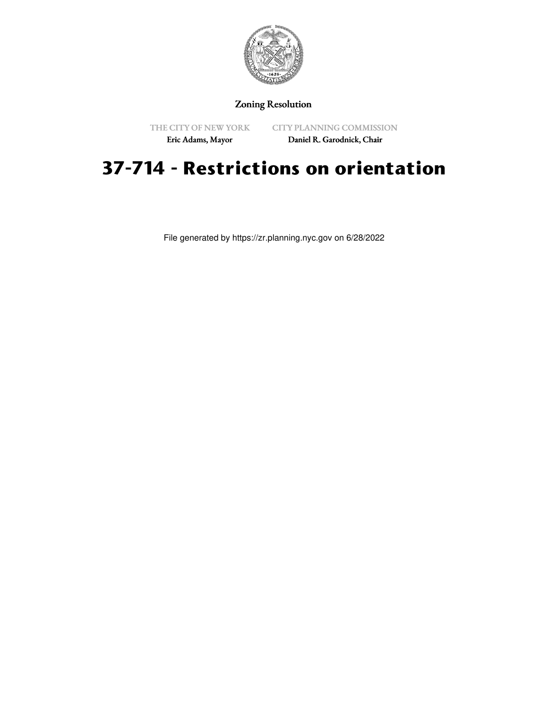

## Zoning Resolution

THE CITY OF NEW YORK

CITY PLANNING COMMISSION

Eric Adams, Mayor

Daniel R. Garodnick, Chair

## **37-714 - Restrictions on orientation**

File generated by https://zr.planning.nyc.gov on 6/28/2022